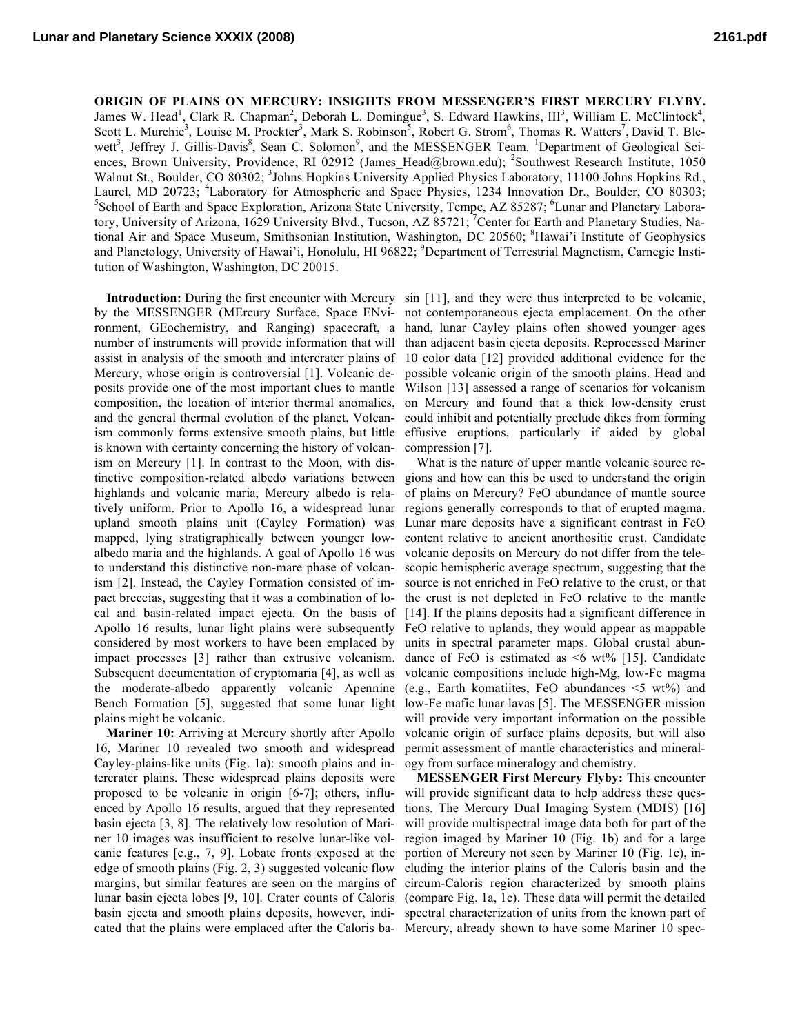**ORIGIN OF PLAINS ON MERCURY: INSIGHTS FROM MESSENGER'S FIRST MERCURY FLYBY.** James W. Head<sup>1</sup>, Clark R. Chapman<sup>2</sup>, Deborah L. Domingue<sup>3</sup>, S. Edward Hawkins, III<sup>3</sup>, William E. McClintock<sup>4</sup>, Scott L. Murchie<sup>3</sup>, Louise M. Prockter<sup>3</sup>, Mark S. Robinson<sup>5</sup>, Robert G. Strom<sup>6</sup>, Thomas R. Watters<sup>7</sup>, David T. Blewett<sup>3</sup>, Jeffrey J. Gillis-Davis<sup>8</sup>, Sean C. Solomon<sup>9</sup>, and the MESSENGER Team. <sup>1</sup>Department of Geological Sciences, Brown University, Providence, RI 02912 (James Head@brown.edu); <sup>2</sup>Southwest Research Institute, 1050 Walnut St., Boulder, CO 80302; <sup>3</sup>Johns Hopkins University Applied Physics Laboratory, 11100 Johns Hopkins Rd., Laurel, MD 20723; <sup>4</sup>Laboratory for Atmospheric and Space Physics, 1234 Innovation Dr., Boulder, CO 80303;  $\frac{5}{5}$ Sebool of Earth and Space Evalentian. Arizona State University Tempe, A.7.85287; <sup>6</sup>Lunar and Planetary L School of Earth and Space Exploration, Arizona State University, Tempe, AZ 85287; <sup>6</sup>Lunar and Planetary Laboratory, University of Arizona, 1629 University Blvd., Tucson, AZ 85721; <sup>7</sup>Center for Earth and Planetary Studies, National Air and Space Museum, Smithsonian Institution, Washington, DC 20560; <sup>8</sup>Hawai'i Institute of Geophysics and Planetology, University of Hawai'i, Honolulu, HI 96822; <sup>9</sup>Department of Terrestrial Magnetism, Carnegie Institution of Washington, Washington, DC 20015.

assist in analysis of the smooth and intercrater plains of Mercury, whose origin is controversial [1]. Volcanic deand the general thermal evolution of the planet. Volcanism commonly forms extensive smooth plains, but little is known with certainty concerning the history of volcanism on Mercury [1]. In contrast to the Moon, with distinctive composition-related albedo variations between highlands and volcanic maria, Mercury albedo is relatively uniform. Prior to Apollo 16, a widespread lunar upland smooth plains unit (Cayley Formation) was mapped, lying stratigraphically between younger lowalbedo maria and the highlands. A goal of Apollo 16 was to understand this distinctive non-mare phase of volcanism [2]. Instead, the Cayley Formation consisted of impact breccias, suggesting that it was a combination of local and basin-related impact ejecta. On the basis of considered by most workers to have been emplaced by impact processes [3] rather than extrusive volcanism. Subsequent documentation of cryptomaria [4], as well as the moderate-albedo apparently volcanic Apennine Bench Formation [5], suggested that some lunar light plains might be volcanic.

**Mariner 10:** Arriving at Mercury shortly after Apollo 16, Mariner 10 revealed two smooth and widespread Cayley-plains-like units (Fig. 1a): smooth plains and intercrater plains. These widespread plains deposits were proposed to be volcanic in origin [6-7]; others, influenced by Apollo 16 results, argued that they represented basin ejecta [3, 8]. The relatively low resolution of Mariner 10 images was insufficient to resolve lunar-like volcanic features [e.g., 7, 9]. Lobate fronts exposed at the edge of smooth plains (Fig. 2, 3) suggested volcanic flow cated that the plains were emplaced after the Caloris ba-Mercury, already shown to have some Mariner 10 spec-

**Introduction:** During the first encounter with Mercury sin [11], and they were thus interpreted to be volcanic, by the MESSENGER (MErcury Surface, Space ENvi-not contemporaneous ejecta emplacement. On the other ronment, GEochemistry, and Ranging) spacecraft, a hand, lunar Cayley plains often showed younger ages number of instruments will provide information that will than adjacent basin ejecta deposits. Reprocessed Mariner posits provide one of the most important clues to mantle Wilson [13] assessed a range of scenarios for volcanism composition, the location of interior thermal anomalies, on Mercury and found that a thick low-density crust 10 color data [12] provided additional evidence for the possible volcanic origin of the smooth plains. Head and could inhibit and potentially preclude dikes from forming effusive eruptions, particularly if aided by global compression [7].

Apollo 16 results, lunar light plains were subsequently FeO relative to uplands, they would appear as mappable What is the nature of upper mantle volcanic source regions and how can this be used to understand the origin of plains on Mercury? FeO abundance of mantle source regions generally corresponds to that of erupted magma. Lunar mare deposits have a significant contrast in FeO content relative to ancient anorthositic crust. Candidate volcanic deposits on Mercury do not differ from the telescopic hemispheric average spectrum, suggesting that the source is not enriched in FeO relative to the crust, or that the crust is not depleted in FeO relative to the mantle [14]. If the plains deposits had a significant difference in units in spectral parameter maps. Global crustal abundance of FeO is estimated as  $\leq 6$  wt% [15]. Candidate volcanic compositions include high-Mg, low-Fe magma (e.g., Earth komatiites, FeO abundances <5 wt%) and low-Fe mafic lunar lavas [5]. The MESSENGER mission will provide very important information on the possible volcanic origin of surface plains deposits, but will also permit assessment of mantle characteristics and mineralogy from surface mineralogy and chemistry.

margins, but similar features are seen on the margins of circum-Caloris region characterized by smooth plains lunar basin ejecta lobes [9, 10]. Crater counts of Caloris (compare Fig. 1a, 1c). These data will permit the detailed basin ejecta and smooth plains deposits, however, indi-spectral characterization of units from the known part of **MESSENGER First Mercury Flyby:** This encounter will provide significant data to help address these questions. The Mercury Dual Imaging System (MDIS) [16] will provide multispectral image data both for part of the region imaged by Mariner 10 (Fig. 1b) and for a large portion of Mercury not seen by Mariner 10 (Fig. 1c), including the interior plains of the Caloris basin and the